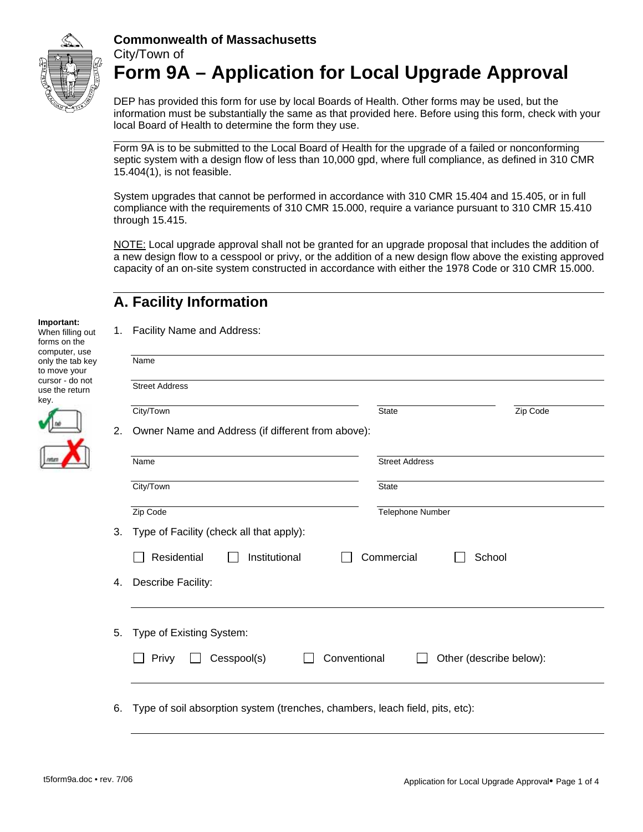

DEP has provided this form for use by local Boards of Health. Other forms may be used, but the information must be substantially the same as that provided here. Before using this form, check with your local Board of Health to determine the form they use.

Form 9A is to be submitted to the Local Board of Health for the upgrade of a failed or nonconforming septic system with a design flow of less than 10,000 gpd, where full compliance, as defined in 310 CMR 15.404(1), is not feasible.

System upgrades that cannot be performed in accordance with 310 CMR 15.404 and 15.405, or in full compliance with the requirements of 310 CMR 15.000, require a variance pursuant to 310 CMR 15.410 through 15.415.

NOTE: Local upgrade approval shall not be granted for an upgrade proposal that includes the addition of a new design flow to a cesspool or privy, or the addition of a new design flow above the existing approved capacity of an on-site system constructed in accordance with either the 1978 Code or 310 CMR 15.000.

# **A. Facility Information**

#### **Important:**

When filling out forms on the computer, use only the tab key to move your cursor - do not use the return key.

| ٦<br>ï |
|--------|

1. Facility Name and Address:

|                | Name                                              |                       |          |  |
|----------------|---------------------------------------------------|-----------------------|----------|--|
|                | <b>Street Address</b>                             |                       |          |  |
|                | City/Town                                         | <b>State</b>          | Zip Code |  |
|                | Owner Name and Address (if different from above): |                       |          |  |
|                | Name                                              | <b>Street Address</b> |          |  |
|                | City/Town                                         | <b>State</b>          |          |  |
|                | Zip Code                                          | Telephone Number      |          |  |
|                |                                                   |                       |          |  |
|                | Type of Facility (check all that apply):          |                       |          |  |
|                | Residential<br>Institutional                      | Commercial            | School   |  |
|                | Describe Facility:                                |                       |          |  |
|                |                                                   |                       |          |  |
| 3.<br>4.<br>5. | Type of Existing System:                          |                       |          |  |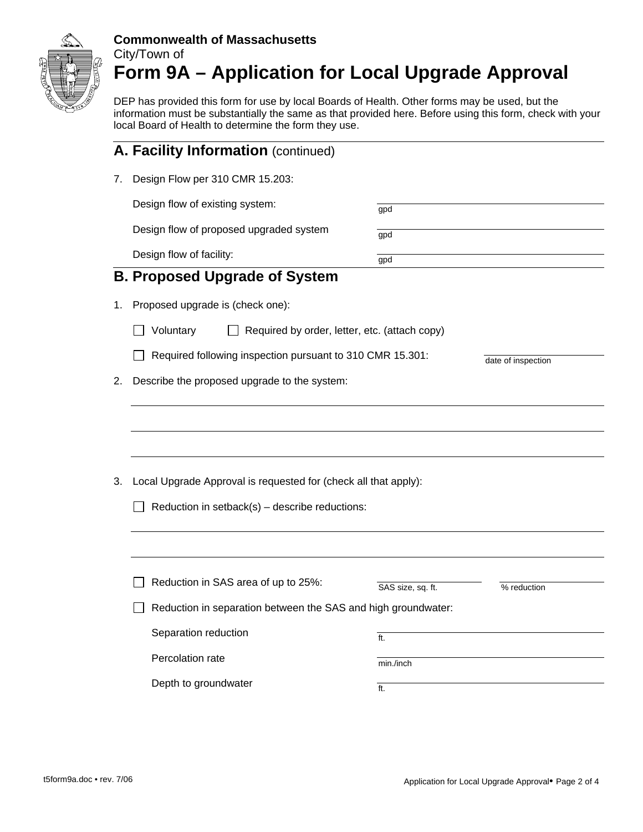

DEP has provided this form for use by local Boards of Health. Other forms may be used, but the information must be substantially the same as that provided here. Before using this form, check with your local Board of Health to determine the form they use.

|    | A. Facility Information (continued)                                                                               |                    |             |  |  |
|----|-------------------------------------------------------------------------------------------------------------------|--------------------|-------------|--|--|
| 7. | Design Flow per 310 CMR 15.203:                                                                                   |                    |             |  |  |
|    | Design flow of existing system:                                                                                   | gpd                |             |  |  |
|    | Design flow of proposed upgraded system                                                                           | gpd                |             |  |  |
|    | Design flow of facility:                                                                                          | gpd                |             |  |  |
|    | <b>B. Proposed Upgrade of System</b>                                                                              |                    |             |  |  |
| 1. | Proposed upgrade is (check one):                                                                                  |                    |             |  |  |
|    | Voluntary<br>Required by order, letter, etc. (attach copy)                                                        |                    |             |  |  |
|    | Required following inspection pursuant to 310 CMR 15.301:                                                         | date of inspection |             |  |  |
| 2. | Describe the proposed upgrade to the system:                                                                      |                    |             |  |  |
| 3. | Local Upgrade Approval is requested for (check all that apply):<br>Reduction in setback(s) - describe reductions: |                    |             |  |  |
|    | Reduction in SAS area of up to 25%:                                                                               | SAS size, sq. ft.  | % reduction |  |  |
|    | Reduction in separation between the SAS and high groundwater:                                                     |                    |             |  |  |
|    | Separation reduction                                                                                              | ft.                |             |  |  |
|    | Percolation rate                                                                                                  | min./inch          |             |  |  |
|    | Depth to groundwater                                                                                              | ft.                |             |  |  |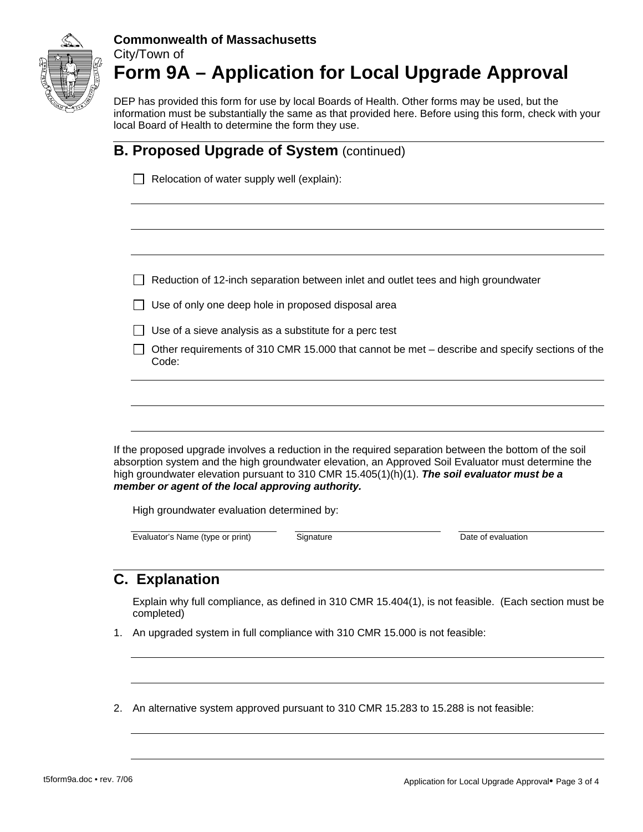

DEP has provided this form for use by local Boards of Health. Other forms may be used, but the information must be substantially the same as that provided here. Before using this form, check with your local Board of Health to determine the form they use.

|  |                                                                                                         | <b>B. Proposed Upgrade of System (continued)</b>                                                                   |           |                                                                                                                                                                                                                                                                                                               |  |  |
|--|---------------------------------------------------------------------------------------------------------|--------------------------------------------------------------------------------------------------------------------|-----------|---------------------------------------------------------------------------------------------------------------------------------------------------------------------------------------------------------------------------------------------------------------------------------------------------------------|--|--|
|  |                                                                                                         | Relocation of water supply well (explain):                                                                         |           |                                                                                                                                                                                                                                                                                                               |  |  |
|  |                                                                                                         |                                                                                                                    |           |                                                                                                                                                                                                                                                                                                               |  |  |
|  | Reduction of 12-inch separation between inlet and outlet tees and high groundwater                      |                                                                                                                    |           |                                                                                                                                                                                                                                                                                                               |  |  |
|  |                                                                                                         | Use of only one deep hole in proposed disposal area                                                                |           |                                                                                                                                                                                                                                                                                                               |  |  |
|  | Use of a sieve analysis as a substitute for a perc test                                                 |                                                                                                                    |           |                                                                                                                                                                                                                                                                                                               |  |  |
|  | Other requirements of 310 CMR 15.000 that cannot be met - describe and specify sections of the<br>Code: |                                                                                                                    |           |                                                                                                                                                                                                                                                                                                               |  |  |
|  |                                                                                                         | member or agent of the local approving authority.<br>High groundwater evaluation determined by:                    |           | If the proposed upgrade involves a reduction in the required separation between the bottom of the soil<br>absorption system and the high groundwater elevation, an Approved Soil Evaluator must determine the<br>high groundwater elevation pursuant to 310 CMR 15.405(1)(h)(1). The soil evaluator must be a |  |  |
|  |                                                                                                         | Evaluator's Name (type or print)                                                                                   | Signature | Date of evaluation                                                                                                                                                                                                                                                                                            |  |  |
|  |                                                                                                         | <b>C. Explanation</b>                                                                                              |           |                                                                                                                                                                                                                                                                                                               |  |  |
|  |                                                                                                         | Explain why full compliance, as defined in 310 CMR 15.404(1), is not feasible. (Each section must be<br>completed) |           |                                                                                                                                                                                                                                                                                                               |  |  |
|  |                                                                                                         | 1. An upgraded system in full compliance with 310 CMR 15.000 is not feasible:                                      |           |                                                                                                                                                                                                                                                                                                               |  |  |
|  |                                                                                                         |                                                                                                                    |           |                                                                                                                                                                                                                                                                                                               |  |  |
|  |                                                                                                         |                                                                                                                    |           | 2. An alternative system approved pursuant to 310 CMR 15.283 to 15.288 is not feasible:                                                                                                                                                                                                                       |  |  |